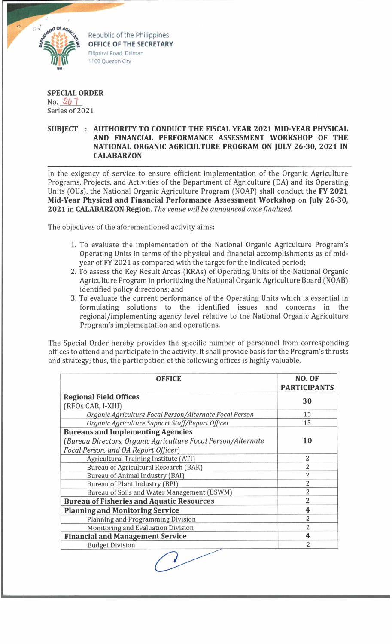

Republic of the Philippines **OFFICE OF THE SECRETARY** Elliptical Road. Diliman 1100 Quezon City

## **SPECIAL ORDER**

No.  $247$ Series of 2021

## **SUBJECT : AUTHORITY TO CONDUCT THE FISCAL YEAR 2021 MID-YEAR PHYSICAL AND FINANCIAL PERFORMANCE ASSESSMENT WORKSHOP OF THE NATIONAL ORGANIC AGRICULTURE PROGRAM ON JULY 26-30, 2021 IN CALABARZON**

In the exigency of service to ensure efficient implementation of the Organic Agriculture Programs, Projects, and Activities of the Department of Agriculture (DA) and its Operating Units (OUs), the National Organic Agriculture Program (NOAP) shall conduct the **FY 2021 Mid-Year Physical and Financial Performance Assessment Workshop** on **July 26-30, 2021** in **CALABARZON Region.** *The venue will be announced once finalized.*

The objectives of the aforementioned activity aims:

- 1. To evaluate the implementation of the National Organic Agriculture Program's Operating Units in terms of the physical and financial accomplishments as of midyear of FY 2021 as compared with the target for the indicated period;
- 2. To assess the Key Result Areas (KRAs) of Operating Units of the National Organic Agriculture Program in prioritizing the National Organic Agriculture Board (NOAB) identified policy directions; and
- 3. To evaluate the current performance of the Operating Units which is essential in formulating solutions to the identified issues and concerns in the regional/implementing agency level relative to the National Organic Agriculture Program's implementation and operations.

The Special Order hereby provides the specific number of personnel from corresponding offices to attend and participate in the activity. It shall provide basis for the Program's thrusts and strategy; thus, the participation of the following offices is highly valuable.

| <b>OFFICE</b>                                                 | NO. OF<br><b>PARTICIPANTS</b> |
|---------------------------------------------------------------|-------------------------------|
| <b>Regional Field Offices</b>                                 | 30                            |
| (RFOs CAR, I-XIII)                                            |                               |
| Organic Agriculture Focal Person/Alternate Focal Person       | 15                            |
| Organic Agriculture Support Staff/Report Officer              | 15                            |
| <b>Bureaus and Implementing Agencies</b>                      |                               |
| (Bureau Directors, Organic Agriculture Focal Person/Alternate | 10                            |
| Focal Person, and OA Report Officer)                          |                               |
| Agricultural Training Institute (ATI)                         | $\overline{2}$                |
| Bureau of Agricultural Research (BAR)                         | $\overline{2}$                |
| Bureau of Animal Industry (BAI)                               | $\overline{2}$                |
| Bureau of Plant Industry (BPI)                                | $\overline{2}$                |
| Bureau of Soils and Water Management (BSWM)                   | $\overline{2}$                |
| <b>Bureau of Fisheries and Aquatic Resources</b>              | $\overline{2}$                |
| <b>Planning and Monitoring Service</b>                        | 4                             |
| Planning and Programming Division                             | $\overline{2}$                |
| Monitoring and Evaluation Division                            | $\overline{2}$                |
| <b>Financial and Management Service</b>                       | $\overline{\mathbf{4}}$       |
| <b>Budget Division</b>                                        | 2                             |
|                                                               |                               |